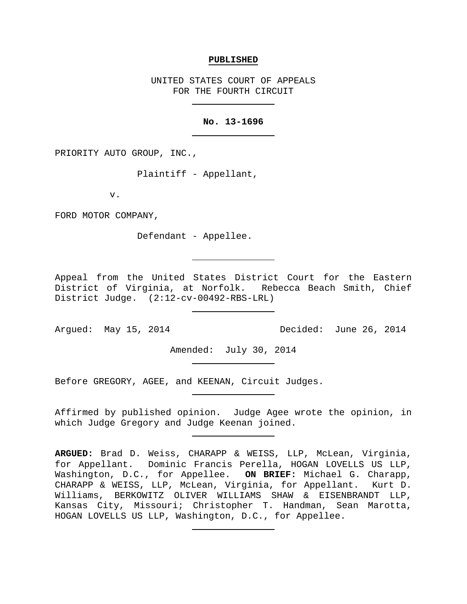#### **PUBLISHED**

UNITED STATES COURT OF APPEALS FOR THE FOURTH CIRCUIT

# **No. 13-1696**

PRIORITY AUTO GROUP, INC.,

Plaintiff - Appellant,

v.

FORD MOTOR COMPANY,

Defendant - Appellee.

Appeal from the United States District Court for the Eastern District of Virginia, at Norfolk. Rebecca Beach Smith, Chief District Judge. (2:12-cv-00492-RBS-LRL)

Argued: May 15, 2014 Decided: June 26, 2014

Amended: July 30, 2014

Before GREGORY, AGEE, and KEENAN, Circuit Judges.

Affirmed by published opinion. Judge Agee wrote the opinion, in which Judge Gregory and Judge Keenan joined.

**ARGUED:** Brad D. Weiss, CHARAPP & WEISS, LLP, McLean, Virginia, for Appellant. Dominic Francis Perella, HOGAN LOVELLS US LLP, Washington, D.C., for Appellee. **ON BRIEF:** Michael G. Charapp, CHARAPP & WEISS, LLP, McLean, Virginia, for Appellant. Kurt D. Williams, BERKOWITZ OLIVER WILLIAMS SHAW & EISENBRANDT LLP, Kansas City, Missouri; Christopher T. Handman, Sean Marotta, HOGAN LOVELLS US LLP, Washington, D.C., for Appellee.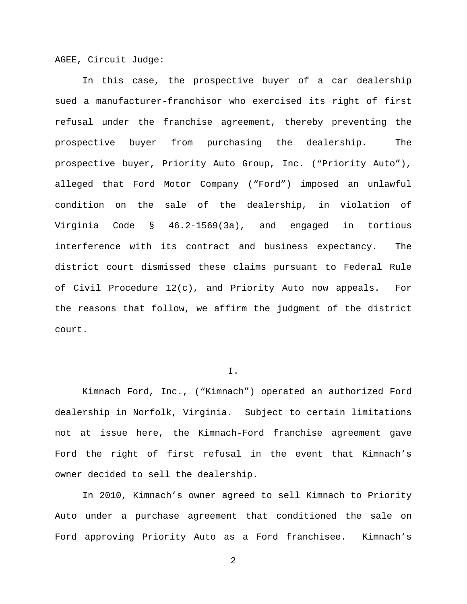AGEE, Circuit Judge:

In this case, the prospective buyer of a car dealership sued a manufacturer-franchisor who exercised its right of first refusal under the franchise agreement, thereby preventing the prospective buyer from purchasing the dealership. The prospective buyer, Priority Auto Group, Inc. ("Priority Auto"), alleged that Ford Motor Company ("Ford") imposed an unlawful condition on the sale of the dealership, in violation of Virginia Code § 46.2-1569(3a), and engaged in tortious interference with its contract and business expectancy. The district court dismissed these claims pursuant to Federal Rule of Civil Procedure 12(c), and Priority Auto now appeals. For the reasons that follow, we affirm the judgment of the district court.

# I.

Kimnach Ford, Inc., ("Kimnach") operated an authorized Ford dealership in Norfolk, Virginia. Subject to certain limitations not at issue here, the Kimnach-Ford franchise agreement gave Ford the right of first refusal in the event that Kimnach's owner decided to sell the dealership.

In 2010, Kimnach's owner agreed to sell Kimnach to Priority Auto under a purchase agreement that conditioned the sale on Ford approving Priority Auto as a Ford franchisee. Kimnach's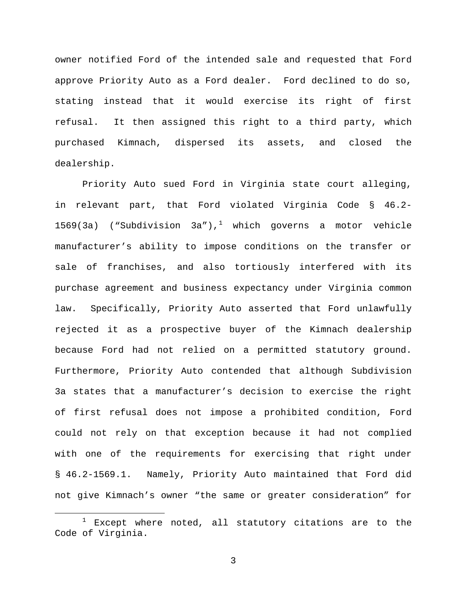owner notified Ford of the intended sale and requested that Ford approve Priority Auto as a Ford dealer. Ford declined to do so, stating instead that it would exercise its right of first refusal. It then assigned this right to a third party, which purchased Kimnach, dispersed its assets, and closed the dealership.

Priority Auto sued Ford in Virginia state court alleging, in relevant part, that Ford violated Virginia Code § 46.2- [1](#page-2-0)569(3a) ("Subdivision 3a"),<sup>1</sup> which governs a motor vehicle manufacturer's ability to impose conditions on the transfer or sale of franchises, and also tortiously interfered with its purchase agreement and business expectancy under Virginia common law. Specifically, Priority Auto asserted that Ford unlawfully rejected it as a prospective buyer of the Kimnach dealership because Ford had not relied on a permitted statutory ground. Furthermore, Priority Auto contended that although Subdivision 3a states that a manufacturer's decision to exercise the right of first refusal does not impose a prohibited condition, Ford could not rely on that exception because it had not complied with one of the requirements for exercising that right under § 46.2-1569.1. Namely, Priority Auto maintained that Ford did not give Kimnach's owner "the same or greater consideration" for

<span id="page-2-0"></span> $1$  Except where noted, all statutory citations are to the Code of Virginia.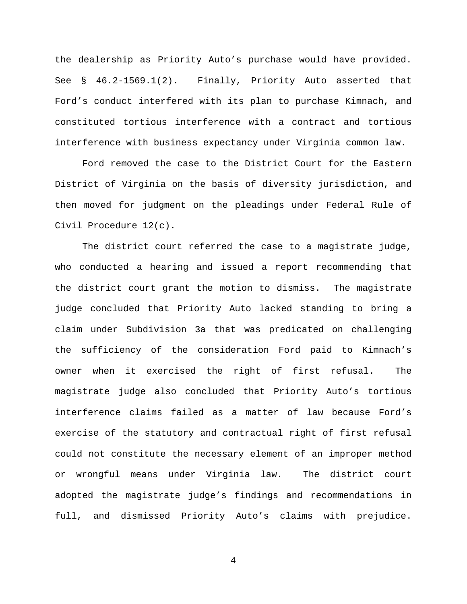the dealership as Priority Auto's purchase would have provided. See § 46.2-1569.1(2). Finally, Priority Auto asserted that Ford's conduct interfered with its plan to purchase Kimnach, and constituted tortious interference with a contract and tortious interference with business expectancy under Virginia common law.

Ford removed the case to the District Court for the Eastern District of Virginia on the basis of diversity jurisdiction, and then moved for judgment on the pleadings under Federal Rule of Civil Procedure 12(c).

The district court referred the case to a magistrate judge, who conducted a hearing and issued a report recommending that the district court grant the motion to dismiss. The magistrate judge concluded that Priority Auto lacked standing to bring a claim under Subdivision 3a that was predicated on challenging the sufficiency of the consideration Ford paid to Kimnach's owner when it exercised the right of first refusal. The magistrate judge also concluded that Priority Auto's tortious interference claims failed as a matter of law because Ford's exercise of the statutory and contractual right of first refusal could not constitute the necessary element of an improper method or wrongful means under Virginia law. The district court adopted the magistrate judge's findings and recommendations in full, and dismissed Priority Auto's claims with prejudice.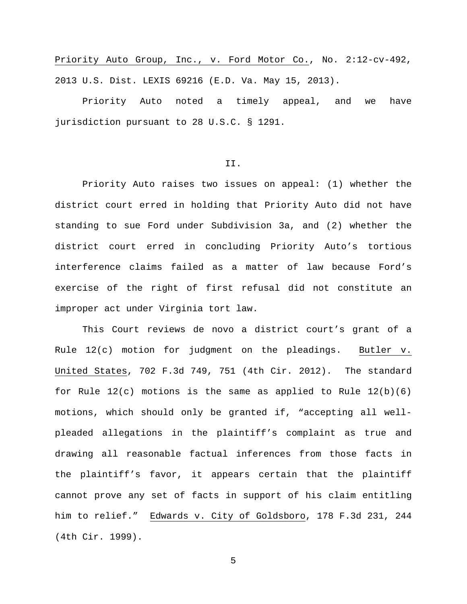Priority Auto Group, Inc., v. Ford Motor Co., No. 2:12-cv-492, 2013 U.S. Dist. LEXIS 69216 (E.D. Va. May 15, 2013).

Priority Auto noted a timely appeal, and we have jurisdiction pursuant to 28 U.S.C. § 1291.

# II.

Priority Auto raises two issues on appeal: (1) whether the district court erred in holding that Priority Auto did not have standing to sue Ford under Subdivision 3a, and (2) whether the district court erred in concluding Priority Auto's tortious interference claims failed as a matter of law because Ford's exercise of the right of first refusal did not constitute an improper act under Virginia tort law.

This Court reviews de novo a district court's grant of a Rule 12(c) motion for judgment on the pleadings. Butler v. United States, 702 F.3d 749, 751 (4th Cir. 2012). The standard for Rule  $12(c)$  motions is the same as applied to Rule  $12(b)(6)$ motions, which should only be granted if, "accepting all wellpleaded allegations in the plaintiff's complaint as true and drawing all reasonable factual inferences from those facts in the plaintiff's favor, it appears certain that the plaintiff cannot prove any set of facts in support of his claim entitling him to relief." Edwards v. City of Goldsboro, 178 F.3d 231, 244 (4th Cir. 1999).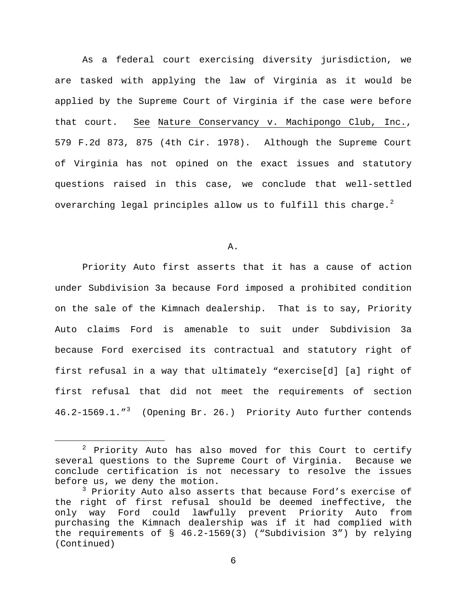As a federal court exercising diversity jurisdiction, we are tasked with applying the law of Virginia as it would be applied by the Supreme Court of Virginia if the case were before that court. See Nature Conservancy v. Machipongo Club, Inc., 579 F.2d 873, 875 (4th Cir. 1978). Although the Supreme Court of Virginia has not opined on the exact issues and statutory questions raised in this case, we conclude that well-settled overarching legal principles allow us to fulfill this charge. $^2$  $^2$ 

A.

Priority Auto first asserts that it has a cause of action under Subdivision 3a because Ford imposed a prohibited condition on the sale of the Kimnach dealership. That is to say, Priority Auto claims Ford is amenable to suit under Subdivision 3a because Ford exercised its contractual and statutory right of first refusal in a way that ultimately "exercise[d] [a] right of first refusal that did not meet the requirements of section 46.2-1569.1."[3](#page-5-1) (Opening Br. 26.) Priority Auto further contends

<span id="page-5-0"></span> $2$  Priority Auto has also moved for this Court to certify several questions to the Supreme Court of Virginia. Because we conclude certification is not necessary to resolve the issues before us, we deny the motion.

<span id="page-5-1"></span><sup>&</sup>lt;sup>3</sup> Priority Auto also asserts that because Ford's exercise of the right of first refusal should be deemed ineffective, the only way Ford could lawfully prevent Priority Auto from purchasing the Kimnach dealership was if it had complied with the requirements of § 46.2-1569(3) ("Subdivision 3") by relying (Continued)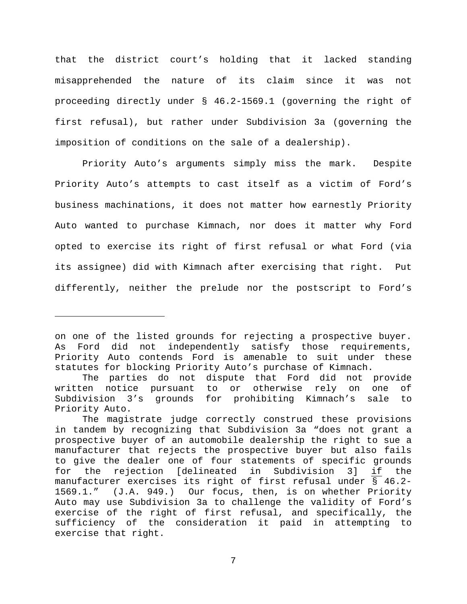that the district court's holding that it lacked standing misapprehended the nature of its claim since it was not proceeding directly under § 46.2-1569.1 (governing the right of first refusal), but rather under Subdivision 3a (governing the imposition of conditions on the sale of a dealership).

Priority Auto's arguments simply miss the mark. Despite Priority Auto's attempts to cast itself as a victim of Ford's business machinations, it does not matter how earnestly Priority Auto wanted to purchase Kimnach, nor does it matter why Ford opted to exercise its right of first refusal or what Ford (via its assignee) did with Kimnach after exercising that right. Put differently, neither the prelude nor the postscript to Ford's

Ĩ.

on one of the listed grounds for rejecting a prospective buyer. As Ford did not independently satisfy those requirements, Priority Auto contends Ford is amenable to suit under these statutes for blocking Priority Auto's purchase of Kimnach.

The parties do not dispute that Ford did not provide written notice pursuant to or otherwise rely on one of Subdivision 3's grounds for prohibiting Kimnach's sale to Priority Auto.

The magistrate judge correctly construed these provisions in tandem by recognizing that Subdivision 3a "does not grant a prospective buyer of an automobile dealership the right to sue a manufacturer that rejects the prospective buyer but also fails to give the dealer one of four statements of specific grounds<br>for the rejection [delineated in Subdivision 3] if the for the rejection [delineated in Subdivision 3] if the manufacturer exercises its right of first refusal under § 46.2- 1569.1." (J.A. 949.) Our focus, then, is on whether Priority Auto may use Subdivision 3a to challenge the validity of Ford's exercise of the right of first refusal, and specifically, the sufficiency of the consideration it paid in attempting to exercise that right.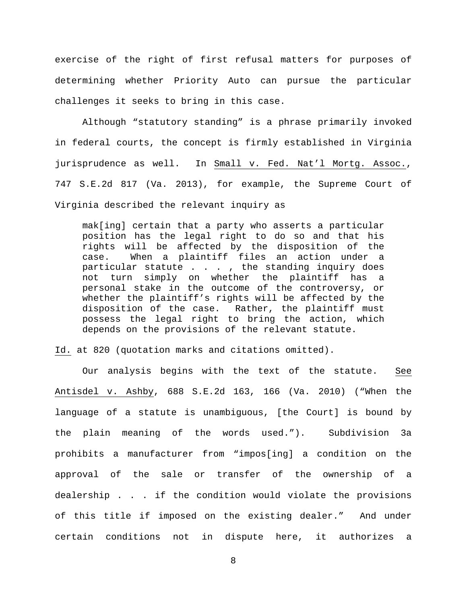exercise of the right of first refusal matters for purposes of determining whether Priority Auto can pursue the particular challenges it seeks to bring in this case.

Although "statutory standing" is a phrase primarily invoked in federal courts, the concept is firmly established in Virginia jurisprudence as well. In Small v. Fed. Nat'l Mortg. Assoc., 747 S.E.2d 817 (Va. 2013), for example, the Supreme Court of Virginia described the relevant inquiry as

mak[ing] certain that a party who asserts a particular position has the legal right to do so and that his rights will be affected by the disposition of the case. When a plaintiff files an action under a particular statute  $\ldots$ , the standing inquiry does not turn simply on whether the plaintiff has a personal stake in the outcome of the controversy, or whether the plaintiff's rights will be affected by the disposition of the case. Rather, the plaintiff must possess the legal right to bring the action, which depends on the provisions of the relevant statute.

Id. at 820 (quotation marks and citations omitted).

Our analysis begins with the text of the statute. See Antisdel v. Ashby, 688 S.E.2d 163, 166 (Va. 2010) ("When the language of a statute is unambiguous, [the Court] is bound by the plain meaning of the words used."). Subdivision 3a prohibits a manufacturer from "impos[ing] a condition on the approval of the sale or transfer of the ownership of a dealership . . . if the condition would violate the provisions of this title if imposed on the existing dealer." And under certain conditions not in dispute here, it authorizes a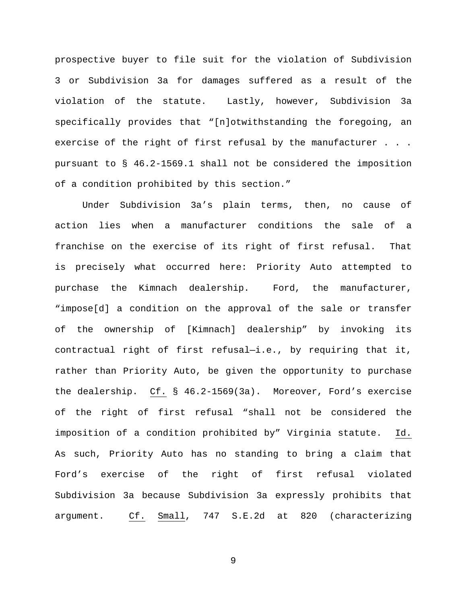prospective buyer to file suit for the violation of Subdivision 3 or Subdivision 3a for damages suffered as a result of the violation of the statute. Lastly, however, Subdivision 3a specifically provides that "[n]otwithstanding the foregoing, an exercise of the right of first refusal by the manufacturer . . . pursuant to § 46.2-1569.1 shall not be considered the imposition of a condition prohibited by this section."

Under Subdivision 3a's plain terms, then, no cause of action lies when a manufacturer conditions the sale of a franchise on the exercise of its right of first refusal. That is precisely what occurred here: Priority Auto attempted to purchase the Kimnach dealership. Ford, the manufacturer, "impose[d] a condition on the approval of the sale or transfer of the ownership of [Kimnach] dealership" by invoking its contractual right of first refusal—i.e., by requiring that it, rather than Priority Auto, be given the opportunity to purchase the dealership. Cf. § 46.2-1569(3a). Moreover, Ford's exercise of the right of first refusal "shall not be considered the imposition of a condition prohibited by" Virginia statute. Id. As such, Priority Auto has no standing to bring a claim that Ford's exercise of the right of first refusal violated Subdivision 3a because Subdivision 3a expressly prohibits that argument. Cf. Small, 747 S.E.2d at 820 (characterizing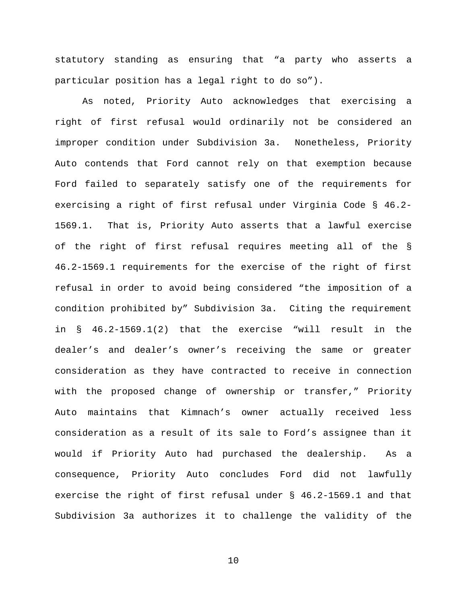statutory standing as ensuring that "a party who asserts a particular position has a legal right to do so").

As noted, Priority Auto acknowledges that exercising a right of first refusal would ordinarily not be considered an improper condition under Subdivision 3a. Nonetheless, Priority Auto contends that Ford cannot rely on that exemption because Ford failed to separately satisfy one of the requirements for exercising a right of first refusal under Virginia Code § 46.2- 1569.1. That is, Priority Auto asserts that a lawful exercise of the right of first refusal requires meeting all of the § 46.2-1569.1 requirements for the exercise of the right of first refusal in order to avoid being considered "the imposition of a condition prohibited by" Subdivision 3a. Citing the requirement in § 46.2-1569.1(2) that the exercise "will result in the dealer's and dealer's owner's receiving the same or greater consideration as they have contracted to receive in connection with the proposed change of ownership or transfer," Priority Auto maintains that Kimnach's owner actually received less consideration as a result of its sale to Ford's assignee than it would if Priority Auto had purchased the dealership. As a consequence, Priority Auto concludes Ford did not lawfully exercise the right of first refusal under § 46.2-1569.1 and that Subdivision 3a authorizes it to challenge the validity of the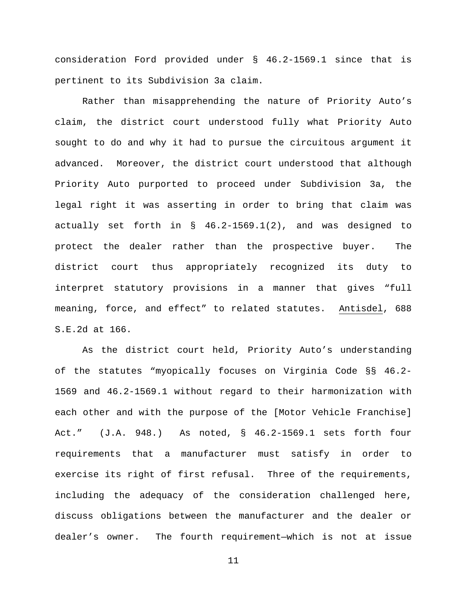consideration Ford provided under § 46.2-1569.1 since that is pertinent to its Subdivision 3a claim.

Rather than misapprehending the nature of Priority Auto's claim, the district court understood fully what Priority Auto sought to do and why it had to pursue the circuitous argument it advanced. Moreover, the district court understood that although Priority Auto purported to proceed under Subdivision 3a, the legal right it was asserting in order to bring that claim was actually set forth in § 46.2-1569.1(2), and was designed to protect the dealer rather than the prospective buyer. The district court thus appropriately recognized its duty to interpret statutory provisions in a manner that gives "full meaning, force, and effect" to related statutes. Antisdel, 688 S.E.2d at 166.

As the district court held, Priority Auto's understanding of the statutes "myopically focuses on Virginia Code §§ 46.2- 1569 and 46.2-1569.1 without regard to their harmonization with each other and with the purpose of the [Motor Vehicle Franchise] Act." (J.A. 948.) As noted, § 46.2-1569.1 sets forth four requirements that a manufacturer must satisfy in order to exercise its right of first refusal. Three of the requirements, including the adequacy of the consideration challenged here, discuss obligations between the manufacturer and the dealer or dealer's owner. The fourth requirement—which is not at issue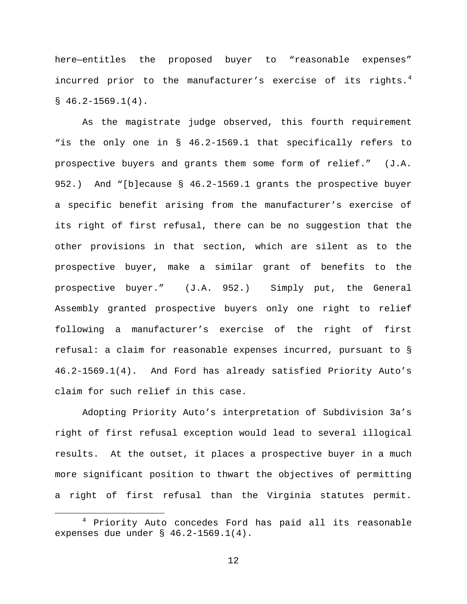here—entitles the proposed buyer to "reasonable expenses" incurred prior to the manufacturer's exercise of its rights.<sup>[4](#page-11-0)</sup>  $$46.2-1569.1(4).$ 

As the magistrate judge observed, this fourth requirement "is the only one in § 46.2-1569.1 that specifically refers to prospective buyers and grants them some form of relief." (J.A. 952.) And "[b]ecause § 46.2-1569.1 grants the prospective buyer a specific benefit arising from the manufacturer's exercise of its right of first refusal, there can be no suggestion that the other provisions in that section, which are silent as to the prospective buyer, make a similar grant of benefits to the prospective buyer." (J.A. 952.) Simply put, the General Assembly granted prospective buyers only one right to relief following a manufacturer's exercise of the right of first refusal: a claim for reasonable expenses incurred, pursuant to § 46.2-1569.1(4). And Ford has already satisfied Priority Auto's claim for such relief in this case.

Adopting Priority Auto's interpretation of Subdivision 3a's right of first refusal exception would lead to several illogical results. At the outset, it places a prospective buyer in a much more significant position to thwart the objectives of permitting a right of first refusal than the Virginia statutes permit.

<span id="page-11-0"></span> $4$  Priority Auto concedes Ford has paid all its reasonable expenses due under § 46.2-1569.1(4).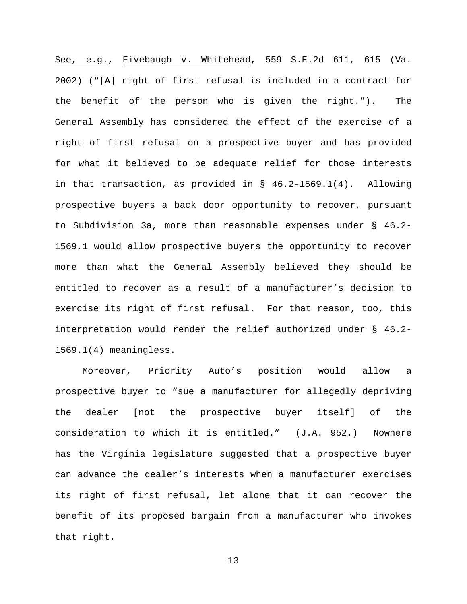See, e.g., Fivebaugh v. Whitehead, 559 S.E.2d 611, 615 (Va. 2002) ("[A] right of first refusal is included in a contract for the benefit of the person who is given the right."). The General Assembly has considered the effect of the exercise of a right of first refusal on a prospective buyer and has provided for what it believed to be adequate relief for those interests in that transaction, as provided in § 46.2-1569.1(4). Allowing prospective buyers a back door opportunity to recover, pursuant to Subdivision 3a, more than reasonable expenses under § 46.2- 1569.1 would allow prospective buyers the opportunity to recover more than what the General Assembly believed they should be entitled to recover as a result of a manufacturer's decision to exercise its right of first refusal. For that reason, too, this interpretation would render the relief authorized under § 46.2- 1569.1(4) meaningless.

Moreover, Priority Auto's position would allow a prospective buyer to "sue a manufacturer for allegedly depriving the dealer [not the prospective buyer itself] of the consideration to which it is entitled." (J.A. 952.) Nowhere has the Virginia legislature suggested that a prospective buyer can advance the dealer's interests when a manufacturer exercises its right of first refusal, let alone that it can recover the benefit of its proposed bargain from a manufacturer who invokes that right.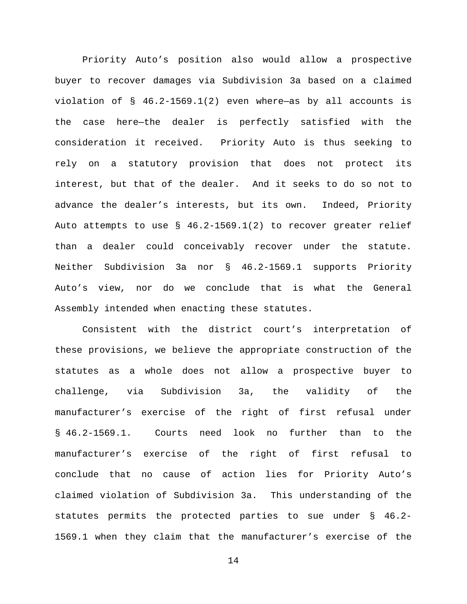Priority Auto's position also would allow a prospective buyer to recover damages via Subdivision 3a based on a claimed violation of § 46.2-1569.1(2) even where—as by all accounts is the case here—the dealer is perfectly satisfied with the consideration it received. Priority Auto is thus seeking to rely on a statutory provision that does not protect its interest, but that of the dealer. And it seeks to do so not to advance the dealer's interests, but its own. Indeed, Priority Auto attempts to use § 46.2-1569.1(2) to recover greater relief than a dealer could conceivably recover under the statute. Neither Subdivision 3a nor § 46.2-1569.1 supports Priority Auto's view, nor do we conclude that is what the General Assembly intended when enacting these statutes.

Consistent with the district court's interpretation of these provisions, we believe the appropriate construction of the statutes as a whole does not allow a prospective buyer to challenge, via Subdivision 3a, the validity of the manufacturer's exercise of the right of first refusal under § 46.2-1569.1. Courts need look no further than to the manufacturer's exercise of the right of first refusal to conclude that no cause of action lies for Priority Auto's claimed violation of Subdivision 3a. This understanding of the statutes permits the protected parties to sue under § 46.2- 1569.1 when they claim that the manufacturer's exercise of the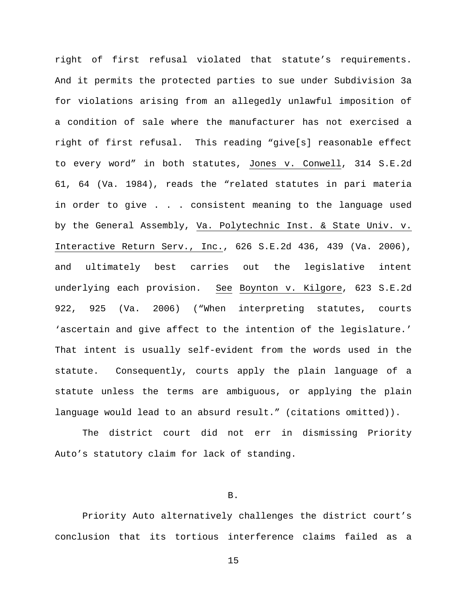right of first refusal violated that statute's requirements. And it permits the protected parties to sue under Subdivision 3a for violations arising from an allegedly unlawful imposition of a condition of sale where the manufacturer has not exercised a right of first refusal. This reading "give[s] reasonable effect to every word" in both statutes, Jones v. Conwell, 314 S.E.2d 61, 64 (Va. 1984), reads the "related statutes in pari materia in order to give . . . consistent meaning to the language used by the General Assembly, Va. Polytechnic Inst. & State Univ. v. Interactive Return Serv., Inc., 626 S.E.2d 436, 439 (Va. 2006), and ultimately best carries out the legislative intent underlying each provision. See Boynton v. Kilgore, 623 S.E.2d 922, 925 (Va. 2006) ("When interpreting statutes, courts 'ascertain and give affect to the intention of the legislature.' That intent is usually self-evident from the words used in the statute. Consequently, courts apply the plain language of a statute unless the terms are ambiguous, or applying the plain language would lead to an absurd result." (citations omitted)).

The district court did not err in dismissing Priority Auto's statutory claim for lack of standing.

B.

Priority Auto alternatively challenges the district court's conclusion that its tortious interference claims failed as a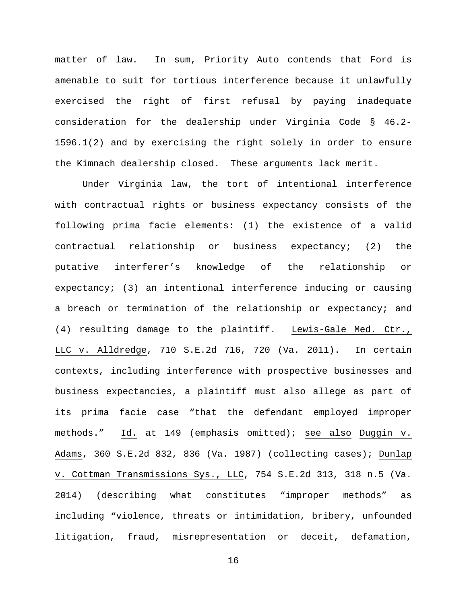matter of law. In sum, Priority Auto contends that Ford is amenable to suit for tortious interference because it unlawfully exercised the right of first refusal by paying inadequate consideration for the dealership under Virginia Code § 46.2- 1596.1(2) and by exercising the right solely in order to ensure the Kimnach dealership closed. These arguments lack merit.

Under Virginia law, the tort of intentional interference with contractual rights or business expectancy consists of the following prima facie elements: (1) the existence of a valid contractual relationship or business expectancy; (2) the putative interferer's knowledge of the relationship or expectancy; (3) an intentional interference inducing or causing a breach or termination of the relationship or expectancy; and (4) resulting damage to the plaintiff. Lewis-Gale Med. Ctr., LLC v. Alldredge, 710 S.E.2d 716, 720 (Va. 2011). In certain contexts, including interference with prospective businesses and business expectancies, a plaintiff must also allege as part of its prima facie case "that the defendant employed improper methods." Id. at 149 (emphasis omitted); see also Duggin v. Adams, 360 S.E.2d 832, 836 (Va. 1987) (collecting cases); Dunlap v. Cottman Transmissions Sys., LLC, 754 S.E.2d 313, 318 n.5 (Va. 2014) (describing what constitutes "improper methods" as including "violence, threats or intimidation, bribery, unfounded litigation, fraud, misrepresentation or deceit, defamation,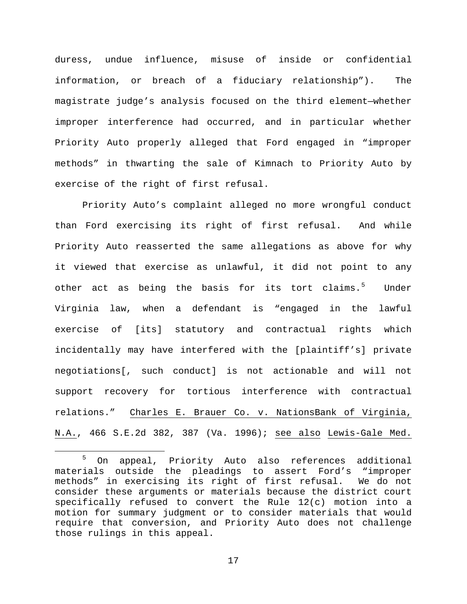duress, undue influence, misuse of inside or confidential information, or breach of a fiduciary relationship"). The magistrate judge's analysis focused on the third element—whether improper interference had occurred, and in particular whether Priority Auto properly alleged that Ford engaged in "improper methods" in thwarting the sale of Kimnach to Priority Auto by exercise of the right of first refusal.

Priority Auto's complaint alleged no more wrongful conduct than Ford exercising its right of first refusal. And while Priority Auto reasserted the same allegations as above for why it viewed that exercise as unlawful, it did not point to any other act as being the basis for its tort claims.<sup>[5](#page-16-0)</sup> Under Virginia law, when a defendant is "engaged in the lawful exercise of [its] statutory and contractual rights which incidentally may have interfered with the [plaintiff's] private negotiations[, such conduct] is not actionable and will not support recovery for tortious interference with contractual relations." Charles E. Brauer Co. v. NationsBank of Virginia, N.A., 466 S.E.2d 382, 387 (Va. 1996); see also Lewis-Gale Med.

<span id="page-16-0"></span> <sup>5</sup> On appeal, Priority Auto also references additional materials outside the pleadings to assert Ford's "improper methods" in exercising its right of first refusal. We do not consider these arguments or materials because the district court specifically refused to convert the Rule 12(c) motion into a motion for summary judgment or to consider materials that would require that conversion, and Priority Auto does not challenge those rulings in this appeal.